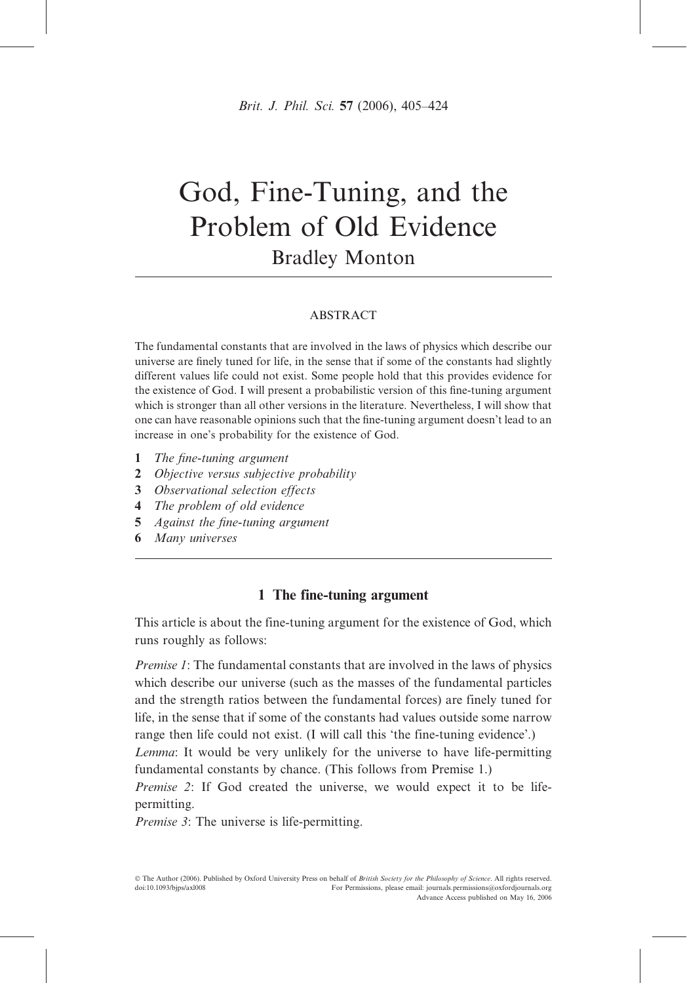# God, Fine-Tuning, and the Problem of Old Evidence Bradley Monton

## ABSTRACT

The fundamental constants that are involved in the laws of physics which describe our universe are finely tuned for life, in the sense that if some of the constants had slightly different values life could not exist. Some people hold that this provides evidence for the existence of God. I will present a probabilistic version of this fine-tuning argument which is stronger than all other versions in the literature. Nevertheless, I will show that one can have reasonable opinions such that the fine-tuning argument doesn't lead to an increase in one's probability for the existence of God.

- 1 The fine-tuning argument
- 2 Objective versus subjective probability
- 3 Observational selection effects
- 4 The problem of old evidence
- 5 Against the fine-tuning argument
- 6 Many universes

## 1 The fine-tuning argument

This article is about the fine-tuning argument for the existence of God, which runs roughly as follows:

Premise 1: The fundamental constants that are involved in the laws of physics which describe our universe (such as the masses of the fundamental particles and the strength ratios between the fundamental forces) are finely tuned for life, in the sense that if some of the constants had values outside some narrow range then life could not exist. (I will call this 'the fine-tuning evidence'.)

Lemma: It would be very unlikely for the universe to have life-permitting fundamental constants by chance. (This follows from Premise 1.)

Premise 2: If God created the universe, we would expect it to be lifepermitting.

Premise 3: The universe is life-permitting.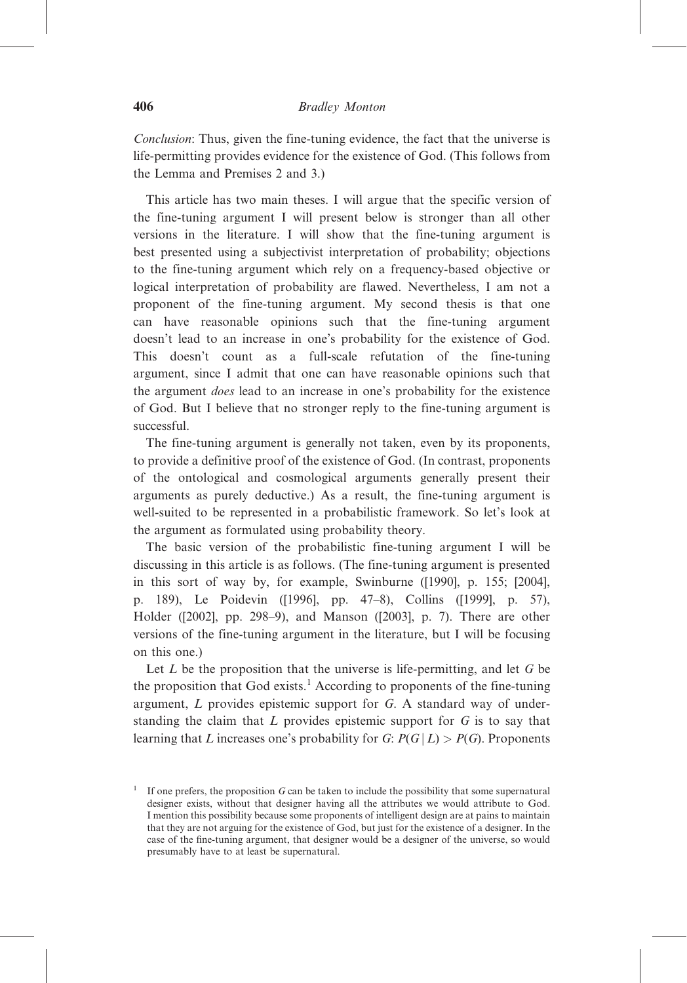Conclusion: Thus, given the fine-tuning evidence, the fact that the universe is life-permitting provides evidence for the existence of God. (This follows from the Lemma and Premises 2 and 3.)

This article has two main theses. I will argue that the specific version of the fine-tuning argument I will present below is stronger than all other versions in the literature. I will show that the fine-tuning argument is best presented using a subjectivist interpretation of probability; objections to the fine-tuning argument which rely on a frequency-based objective or logical interpretation of probability are flawed. Nevertheless, I am not a proponent of the fine-tuning argument. My second thesis is that one can have reasonable opinions such that the fine-tuning argument doesn't lead to an increase in one's probability for the existence of God. This doesn't count as a full-scale refutation of the fine-tuning argument, since I admit that one can have reasonable opinions such that the argument does lead to an increase in one's probability for the existence of God. But I believe that no stronger reply to the fine-tuning argument is successful.

The fine-tuning argument is generally not taken, even by its proponents, to provide a definitive proof of the existence of God. (In contrast, proponents of the ontological and cosmological arguments generally present their arguments as purely deductive.) As a result, the fine-tuning argument is well-suited to be represented in a probabilistic framework. So let's look at the argument as formulated using probability theory.

The basic version of the probabilistic fine-tuning argument I will be discussing in this article is as follows. (The fine-tuning argument is presented in this sort of way by, for example, Swinburne ([1990], p. 155; [2004], p. 189), Le Poidevin ([1996], pp. 47–8), Collins ([1999], p. 57), Holder ([2002], pp. 298–9), and Manson ([2003], p. 7). There are other versions of the fine-tuning argument in the literature, but I will be focusing on this one.)

Let  $L$  be the proposition that the universe is life-permitting, and let  $G$  be the proposition that God exists.<sup>1</sup> According to proponents of the fine-tuning argument, L provides epistemic support for G. A standard way of understanding the claim that  $L$  provides epistemic support for  $G$  is to say that learning that L increases one's probability for G:  $P(G | L) > P(G)$ . Proponents

<sup>&</sup>lt;sup>1</sup> If one prefers, the proposition G can be taken to include the possibility that some supernatural designer exists, without that designer having all the attributes we would attribute to God. I mention this possibility because some proponents of intelligent design are at pains to maintain that they are not arguing for the existence of God, but just for the existence of a designer. In the case of the fine-tuning argument, that designer would be a designer of the universe, so would presumably have to at least be supernatural.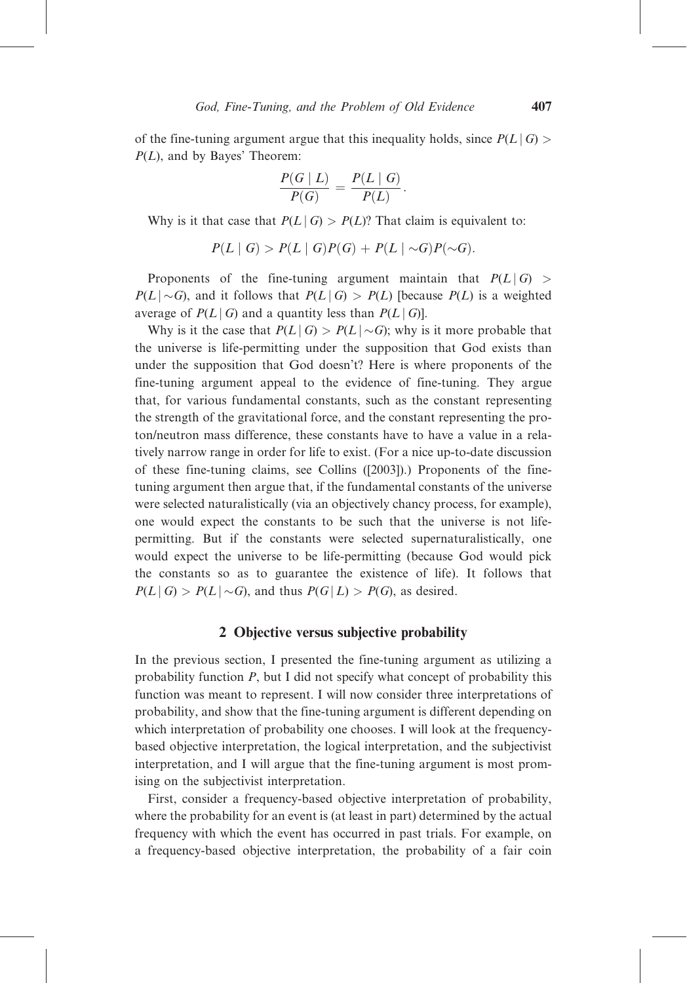of the fine-tuning argument argue that this inequality holds, since  $P(L | G)$  $P(L)$ , and by Bayes' Theorem:

$$
\frac{P(G \mid L)}{P(G)} = \frac{P(L \mid G)}{P(L)}.
$$

Why is it that case that  $P(L | G) > P(L)$ ? That claim is equivalent to:

$$
P(L \mid G) > P(L \mid G)P(G) + P(L \mid \sim G)P(\sim G).
$$

Proponents of the fine-tuning argument maintain that  $P(L|G)$  $P(L | \sim G)$ , and it follows that  $P(L | G) > P(L)$  [because  $P(L)$  is a weighted average of  $P(L | G)$  and a quantity less than  $P(L | G)$ ].

Why is it the case that  $P(L | G) > P(L | \sim G)$ ; why is it more probable that the universe is life-permitting under the supposition that God exists than under the supposition that God doesn't? Here is where proponents of the fine-tuning argument appeal to the evidence of fine-tuning. They argue that, for various fundamental constants, such as the constant representing the strength of the gravitational force, and the constant representing the proton/neutron mass difference, these constants have to have a value in a relatively narrow range in order for life to exist. (For a nice up-to-date discussion of these fine-tuning claims, see Collins ([2003]).) Proponents of the finetuning argument then argue that, if the fundamental constants of the universe were selected naturalistically (via an objectively chancy process, for example), one would expect the constants to be such that the universe is not lifepermitting. But if the constants were selected supernaturalistically, one would expect the universe to be life-permitting (because God would pick the constants so as to guarantee the existence of life). It follows that  $P(L | G) > P(L | \sim G)$ , and thus  $P(G | L) > P(G)$ , as desired.

## 2 Objective versus subjective probability

In the previous section, I presented the fine-tuning argument as utilizing a probability function P, but I did not specify what concept of probability this function was meant to represent. I will now consider three interpretations of probability, and show that the fine-tuning argument is different depending on which interpretation of probability one chooses. I will look at the frequencybased objective interpretation, the logical interpretation, and the subjectivist interpretation, and I will argue that the fine-tuning argument is most promising on the subjectivist interpretation.

First, consider a frequency-based objective interpretation of probability, where the probability for an event is (at least in part) determined by the actual frequency with which the event has occurred in past trials. For example, on a frequency-based objective interpretation, the probability of a fair coin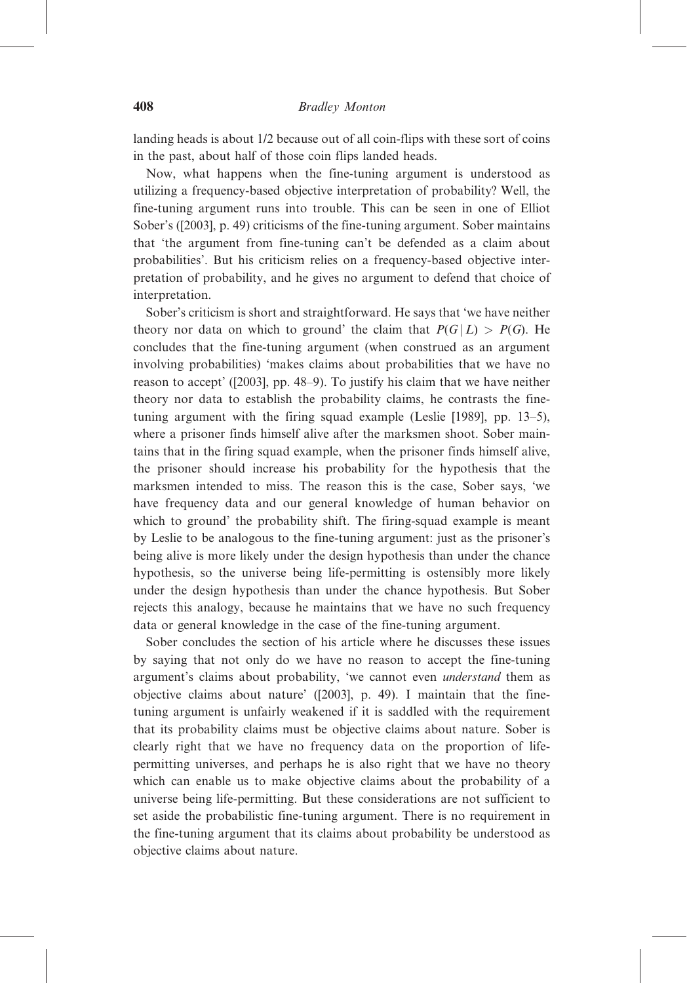landing heads is about 1/2 because out of all coin-flips with these sort of coins in the past, about half of those coin flips landed heads.

Now, what happens when the fine-tuning argument is understood as utilizing a frequency-based objective interpretation of probability? Well, the fine-tuning argument runs into trouble. This can be seen in one of Elliot Sober's ([2003], p. 49) criticisms of the fine-tuning argument. Sober maintains that 'the argument from fine-tuning can't be defended as a claim about probabilities'. But his criticism relies on a frequency-based objective interpretation of probability, and he gives no argument to defend that choice of interpretation.

Sober's criticism is short and straightforward. He says that 'we have neither theory nor data on which to ground' the claim that  $P(G | L) > P(G)$ . He concludes that the fine-tuning argument (when construed as an argument involving probabilities) 'makes claims about probabilities that we have no reason to accept' ([2003], pp. 48–9). To justify his claim that we have neither theory nor data to establish the probability claims, he contrasts the finetuning argument with the firing squad example (Leslie [1989], pp. 13–5), where a prisoner finds himself alive after the marksmen shoot. Sober maintains that in the firing squad example, when the prisoner finds himself alive, the prisoner should increase his probability for the hypothesis that the marksmen intended to miss. The reason this is the case, Sober says, 'we have frequency data and our general knowledge of human behavior on which to ground' the probability shift. The firing-squad example is meant by Leslie to be analogous to the fine-tuning argument: just as the prisoner's being alive is more likely under the design hypothesis than under the chance hypothesis, so the universe being life-permitting is ostensibly more likely under the design hypothesis than under the chance hypothesis. But Sober rejects this analogy, because he maintains that we have no such frequency data or general knowledge in the case of the fine-tuning argument.

Sober concludes the section of his article where he discusses these issues by saying that not only do we have no reason to accept the fine-tuning argument's claims about probability, 'we cannot even understand them as objective claims about nature' ([2003], p. 49). I maintain that the finetuning argument is unfairly weakened if it is saddled with the requirement that its probability claims must be objective claims about nature. Sober is clearly right that we have no frequency data on the proportion of lifepermitting universes, and perhaps he is also right that we have no theory which can enable us to make objective claims about the probability of a universe being life-permitting. But these considerations are not sufficient to set aside the probabilistic fine-tuning argument. There is no requirement in the fine-tuning argument that its claims about probability be understood as objective claims about nature.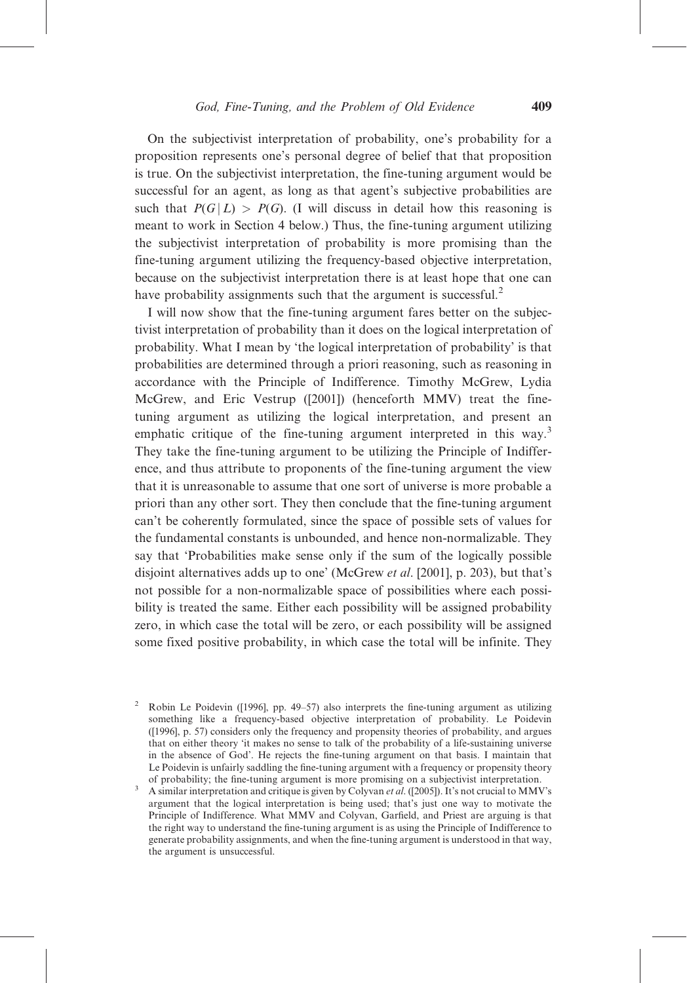On the subjectivist interpretation of probability, one's probability for a proposition represents one's personal degree of belief that that proposition is true. On the subjectivist interpretation, the fine-tuning argument would be successful for an agent, as long as that agent's subjective probabilities are such that  $P(G | L) > P(G)$ . (I will discuss in detail how this reasoning is meant to work in Section 4 below.) Thus, the fine-tuning argument utilizing the subjectivist interpretation of probability is more promising than the fine-tuning argument utilizing the frequency-based objective interpretation, because on the subjectivist interpretation there is at least hope that one can have probability assignments such that the argument is successful. $<sup>2</sup>$ </sup>

I will now show that the fine-tuning argument fares better on the subjectivist interpretation of probability than it does on the logical interpretation of probability. What I mean by 'the logical interpretation of probability' is that probabilities are determined through a priori reasoning, such as reasoning in accordance with the Principle of Indifference. Timothy McGrew, Lydia McGrew, and Eric Vestrup ([2001]) (henceforth MMV) treat the finetuning argument as utilizing the logical interpretation, and present an emphatic critique of the fine-tuning argument interpreted in this way.<sup>3</sup> They take the fine-tuning argument to be utilizing the Principle of Indifference, and thus attribute to proponents of the fine-tuning argument the view that it is unreasonable to assume that one sort of universe is more probable a priori than any other sort. They then conclude that the fine-tuning argument can't be coherently formulated, since the space of possible sets of values for the fundamental constants is unbounded, and hence non-normalizable. They say that 'Probabilities make sense only if the sum of the logically possible disjoint alternatives adds up to one' (McGrew et al. [2001], p. 203), but that's not possible for a non-normalizable space of possibilities where each possibility is treated the same. Either each possibility will be assigned probability zero, in which case the total will be zero, or each possibility will be assigned some fixed positive probability, in which case the total will be infinite. They

<sup>2</sup> Robin Le Poidevin ([1996], pp. 49–57) also interprets the fine-tuning argument as utilizing something like a frequency-based objective interpretation of probability. Le Poidevin ([1996], p. 57) considers only the frequency and propensity theories of probability, and argues that on either theory 'it makes no sense to talk of the probability of a life-sustaining universe in the absence of God'. He rejects the fine-tuning argument on that basis. I maintain that Le Poidevin is unfairly saddling the fine-tuning argument with a frequency or propensity theory of probability; the fine-tuning argument is more promising on a subjectivist interpretation.<br>3 A similar interpretation and critique is given by Colyvan *et al.* ([2005]). It's not crucial to MMV's

argument that the logical interpretation is being used; that's just one way to motivate the Principle of Indifference. What MMV and Colyvan, Garfield, and Priest are arguing is that the right way to understand the fine-tuning argument is as using the Principle of Indifference to generate probability assignments, and when the fine-tuning argument is understood in that way, the argument is unsuccessful.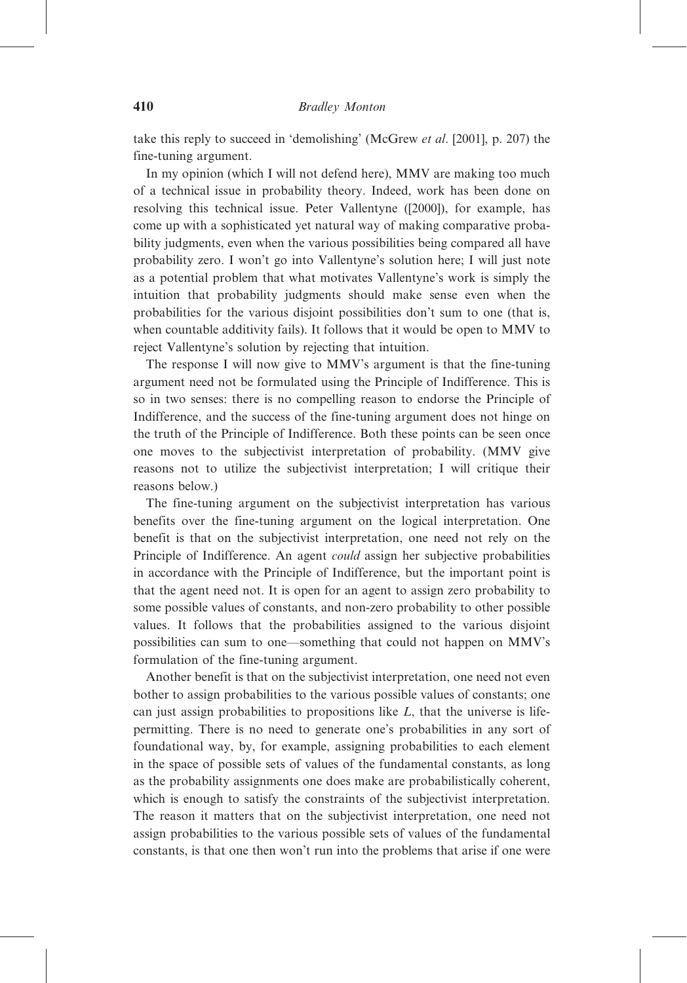take this reply to succeed in 'demolishing' (McGrew et al. [2001], p. 207) the fine-tuning argument.

In my opinion (which I will not defend here), MMV are making too much of a technical issue in probability theory. Indeed, work has been done on resolving this technical issue. Peter Vallentyne ([2000]), for example, has come up with a sophisticated yet natural way of making comparative probability judgments, even when the various possibilities being compared all have probability zero. I won't go into Vallentyne's solution here; I will just note as a potential problem that what motivates Vallentyne's work is simply the intuition that probability judgments should make sense even when the probabilities for the various disjoint possibilities don't sum to one (that is, when countable additivity fails). It follows that it would be open to MMV to reject Vallentyne's solution by rejecting that intuition.

The response I will now give to MMV's argument is that the fine-tuning argument need not be formulated using the Principle of Indifference. This is so in two senses: there is no compelling reason to endorse the Principle of Indifference, and the success of the fine-tuning argument does not hinge on the truth of the Principle of Indifference. Both these points can be seen once one moves to the subjectivist interpretation of probability. (MMV give reasons not to utilize the subjectivist interpretation; I will critique their reasons below.)

The fine-tuning argument on the subjectivist interpretation has various benefits over the fine-tuning argument on the logical interpretation. One benefit is that on the subjectivist interpretation, one need not rely on the Principle of Indifference. An agent could assign her subjective probabilities in accordance with the Principle of Indifference, but the important point is that the agent need not. It is open for an agent to assign zero probability to some possible values of constants, and non-zero probability to other possible values. It follows that the probabilities assigned to the various disjoint possibilities can sum to one—something that could not happen on MMV's formulation of the fine-tuning argument.

Another benefit is that on the subjectivist interpretation, one need not even bother to assign probabilities to the various possible values of constants; one can just assign probabilities to propositions like  $L$ , that the universe is lifepermitting. There is no need to generate one's probabilities in any sort of foundational way, by, for example, assigning probabilities to each element in the space of possible sets of values of the fundamental constants, as long as the probability assignments one does make are probabilistically coherent, which is enough to satisfy the constraints of the subjectivist interpretation. The reason it matters that on the subjectivist interpretation, one need not assign probabilities to the various possible sets of values of the fundamental constants, is that one then won't run into the problems that arise if one were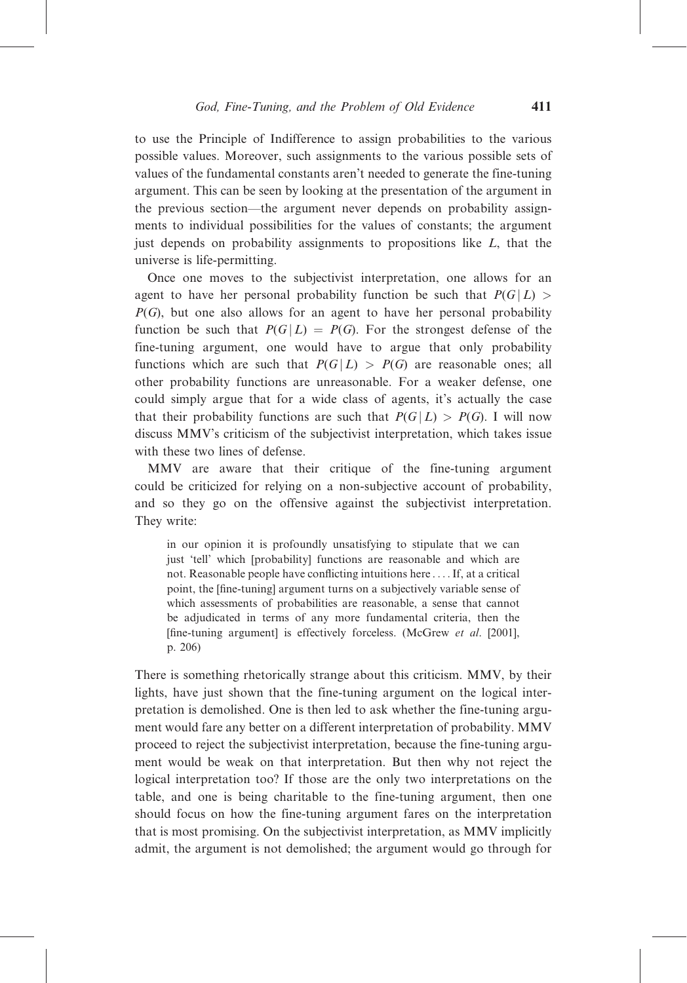to use the Principle of Indifference to assign probabilities to the various possible values. Moreover, such assignments to the various possible sets of values of the fundamental constants aren't needed to generate the fine-tuning argument. This can be seen by looking at the presentation of the argument in the previous section—the argument never depends on probability assignments to individual possibilities for the values of constants; the argument just depends on probability assignments to propositions like  $L$ , that the universe is life-permitting.

Once one moves to the subjectivist interpretation, one allows for an agent to have her personal probability function be such that  $P(G|L)$  $P(G)$ , but one also allows for an agent to have her personal probability function be such that  $P(G | L) = P(G)$ . For the strongest defense of the fine-tuning argument, one would have to argue that only probability functions which are such that  $P(G | L) > P(G)$  are reasonable ones; all other probability functions are unreasonable. For a weaker defense, one could simply argue that for a wide class of agents, it's actually the case that their probability functions are such that  $P(G | L) > P(G)$ . I will now discuss MMV's criticism of the subjectivist interpretation, which takes issue with these two lines of defense.

MMV are aware that their critique of the fine-tuning argument could be criticized for relying on a non-subjective account of probability, and so they go on the offensive against the subjectivist interpretation. They write:

in our opinion it is profoundly unsatisfying to stipulate that we can just 'tell' which [probability] functions are reasonable and which are not. Reasonable people have conflicting intuitions here . ...If, at a critical point, the [fine-tuning] argument turns on a subjectively variable sense of which assessments of probabilities are reasonable, a sense that cannot be adjudicated in terms of any more fundamental criteria, then the [fine-tuning argument] is effectively forceless. (McGrew et al. [2001], p. 206)

There is something rhetorically strange about this criticism. MMV, by their lights, have just shown that the fine-tuning argument on the logical interpretation is demolished. One is then led to ask whether the fine-tuning argument would fare any better on a different interpretation of probability. MMV proceed to reject the subjectivist interpretation, because the fine-tuning argument would be weak on that interpretation. But then why not reject the logical interpretation too? If those are the only two interpretations on the table, and one is being charitable to the fine-tuning argument, then one should focus on how the fine-tuning argument fares on the interpretation that is most promising. On the subjectivist interpretation, as MMV implicitly admit, the argument is not demolished; the argument would go through for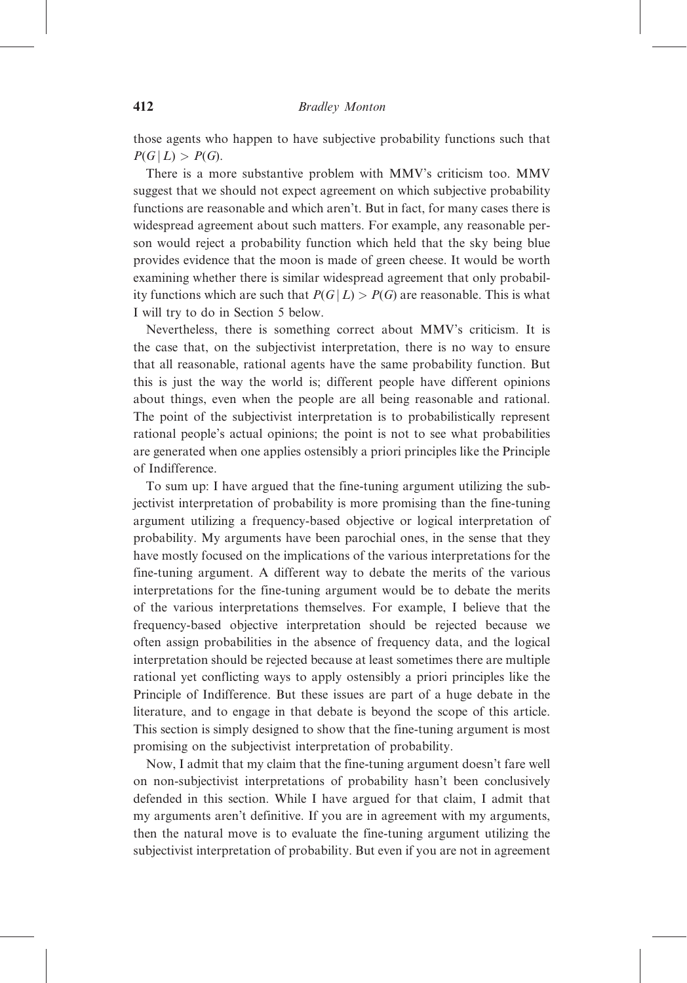those agents who happen to have subjective probability functions such that  $P(G | L) > P(G).$ 

There is a more substantive problem with MMV's criticism too. MMV suggest that we should not expect agreement on which subjective probability functions are reasonable and which aren't. But in fact, for many cases there is widespread agreement about such matters. For example, any reasonable person would reject a probability function which held that the sky being blue provides evidence that the moon is made of green cheese. It would be worth examining whether there is similar widespread agreement that only probability functions which are such that  $P(G | L) > P(G)$  are reasonable. This is what I will try to do in Section 5 below.

Nevertheless, there is something correct about MMV's criticism. It is the case that, on the subjectivist interpretation, there is no way to ensure that all reasonable, rational agents have the same probability function. But this is just the way the world is; different people have different opinions about things, even when the people are all being reasonable and rational. The point of the subjectivist interpretation is to probabilistically represent rational people's actual opinions; the point is not to see what probabilities are generated when one applies ostensibly a priori principles like the Principle of Indifference.

To sum up: I have argued that the fine-tuning argument utilizing the subjectivist interpretation of probability is more promising than the fine-tuning argument utilizing a frequency-based objective or logical interpretation of probability. My arguments have been parochial ones, in the sense that they have mostly focused on the implications of the various interpretations for the fine-tuning argument. A different way to debate the merits of the various interpretations for the fine-tuning argument would be to debate the merits of the various interpretations themselves. For example, I believe that the frequency-based objective interpretation should be rejected because we often assign probabilities in the absence of frequency data, and the logical interpretation should be rejected because at least sometimes there are multiple rational yet conflicting ways to apply ostensibly a priori principles like the Principle of Indifference. But these issues are part of a huge debate in the literature, and to engage in that debate is beyond the scope of this article. This section is simply designed to show that the fine-tuning argument is most promising on the subjectivist interpretation of probability.

Now, I admit that my claim that the fine-tuning argument doesn't fare well on non-subjectivist interpretations of probability hasn't been conclusively defended in this section. While I have argued for that claim, I admit that my arguments aren't definitive. If you are in agreement with my arguments, then the natural move is to evaluate the fine-tuning argument utilizing the subjectivist interpretation of probability. But even if you are not in agreement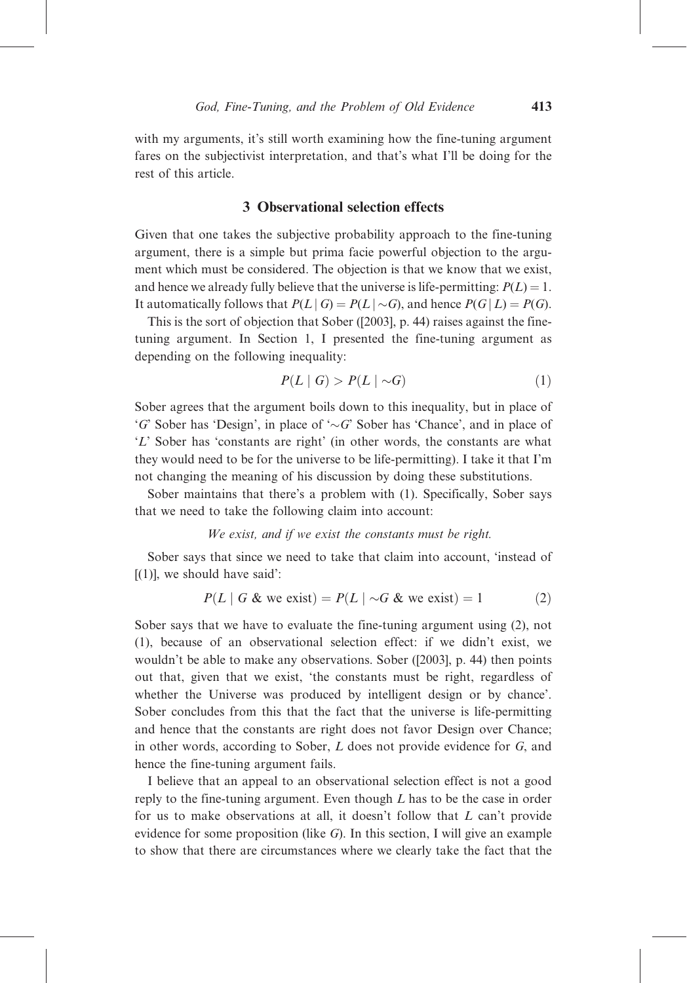with my arguments, it's still worth examining how the fine-tuning argument fares on the subjectivist interpretation, and that's what I'll be doing for the rest of this article.

## 3 Observational selection effects

Given that one takes the subjective probability approach to the fine-tuning argument, there is a simple but prima facie powerful objection to the argument which must be considered. The objection is that we know that we exist, and hence we already fully believe that the universe is life-permitting:  $P(L) = 1$ . It automatically follows that  $P(L | G) = P(L | \sim G)$ , and hence  $P(G | L) = P(G)$ .

This is the sort of objection that Sober ([2003], p. 44) raises against the finetuning argument. In Section 1, I presented the fine-tuning argument as depending on the following inequality:

$$
P(L \mid G) > P(L \mid \sim G) \tag{1}
$$

Sober agrees that the argument boils down to this inequality, but in place of 'G' Sober has 'Design', in place of ' $\sim$ G' Sober has 'Chance', and in place of 'L' Sober has 'constants are right' (in other words, the constants are what they would need to be for the universe to be life-permitting). I take it that I'm not changing the meaning of his discussion by doing these substitutions.

Sober maintains that there's a problem with (1). Specifically, Sober says that we need to take the following claim into account:

#### We exist, and if we exist the constants must be right.

Sober says that since we need to take that claim into account, 'instead of  $[(1)]$ , we should have said':

$$
P(L \mid G \& we exist) = P(L \mid \sim G \& we exist) = 1
$$
 (2)

Sober says that we have to evaluate the fine-tuning argument using (2), not (1), because of an observational selection effect: if we didn't exist, we wouldn't be able to make any observations. Sober ([2003], p. 44) then points out that, given that we exist, 'the constants must be right, regardless of whether the Universe was produced by intelligent design or by chance'. Sober concludes from this that the fact that the universe is life-permitting and hence that the constants are right does not favor Design over Chance; in other words, according to Sober, L does not provide evidence for G, and hence the fine-tuning argument fails.

I believe that an appeal to an observational selection effect is not a good reply to the fine-tuning argument. Even though  $L$  has to be the case in order for us to make observations at all, it doesn't follow that L can't provide evidence for some proposition (like G). In this section, I will give an example to show that there are circumstances where we clearly take the fact that the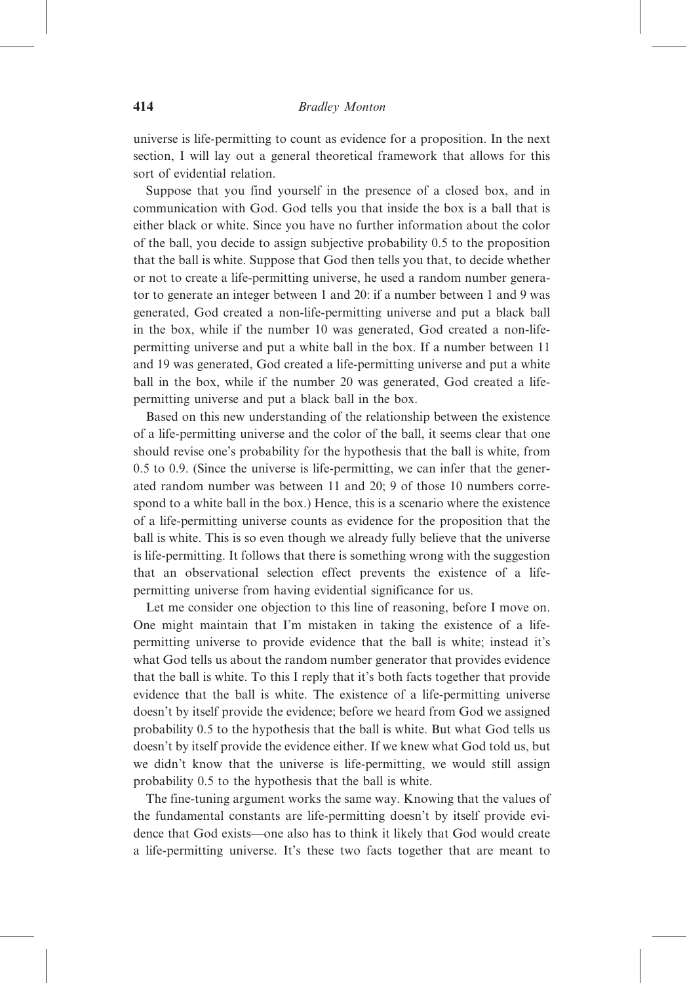universe is life-permitting to count as evidence for a proposition. In the next section, I will lay out a general theoretical framework that allows for this sort of evidential relation.

Suppose that you find yourself in the presence of a closed box, and in communication with God. God tells you that inside the box is a ball that is either black or white. Since you have no further information about the color of the ball, you decide to assign subjective probability 0.5 to the proposition that the ball is white. Suppose that God then tells you that, to decide whether or not to create a life-permitting universe, he used a random number generator to generate an integer between 1 and 20: if a number between 1 and 9 was generated, God created a non-life-permitting universe and put a black ball in the box, while if the number 10 was generated, God created a non-lifepermitting universe and put a white ball in the box. If a number between 11 and 19 was generated, God created a life-permitting universe and put a white ball in the box, while if the number 20 was generated, God created a lifepermitting universe and put a black ball in the box.

Based on this new understanding of the relationship between the existence of a life-permitting universe and the color of the ball, it seems clear that one should revise one's probability for the hypothesis that the ball is white, from 0.5 to 0.9. (Since the universe is life-permitting, we can infer that the generated random number was between 11 and 20; 9 of those 10 numbers correspond to a white ball in the box.) Hence, this is a scenario where the existence of a life-permitting universe counts as evidence for the proposition that the ball is white. This is so even though we already fully believe that the universe is life-permitting. It follows that there is something wrong with the suggestion that an observational selection effect prevents the existence of a lifepermitting universe from having evidential significance for us.

Let me consider one objection to this line of reasoning, before I move on. One might maintain that I'm mistaken in taking the existence of a lifepermitting universe to provide evidence that the ball is white; instead it's what God tells us about the random number generator that provides evidence that the ball is white. To this I reply that it's both facts together that provide evidence that the ball is white. The existence of a life-permitting universe doesn't by itself provide the evidence; before we heard from God we assigned probability 0.5 to the hypothesis that the ball is white. But what God tells us doesn't by itself provide the evidence either. If we knew what God told us, but we didn't know that the universe is life-permitting, we would still assign probability 0.5 to the hypothesis that the ball is white.

The fine-tuning argument works the same way. Knowing that the values of the fundamental constants are life-permitting doesn't by itself provide evidence that God exists—one also has to think it likely that God would create a life-permitting universe. It's these two facts together that are meant to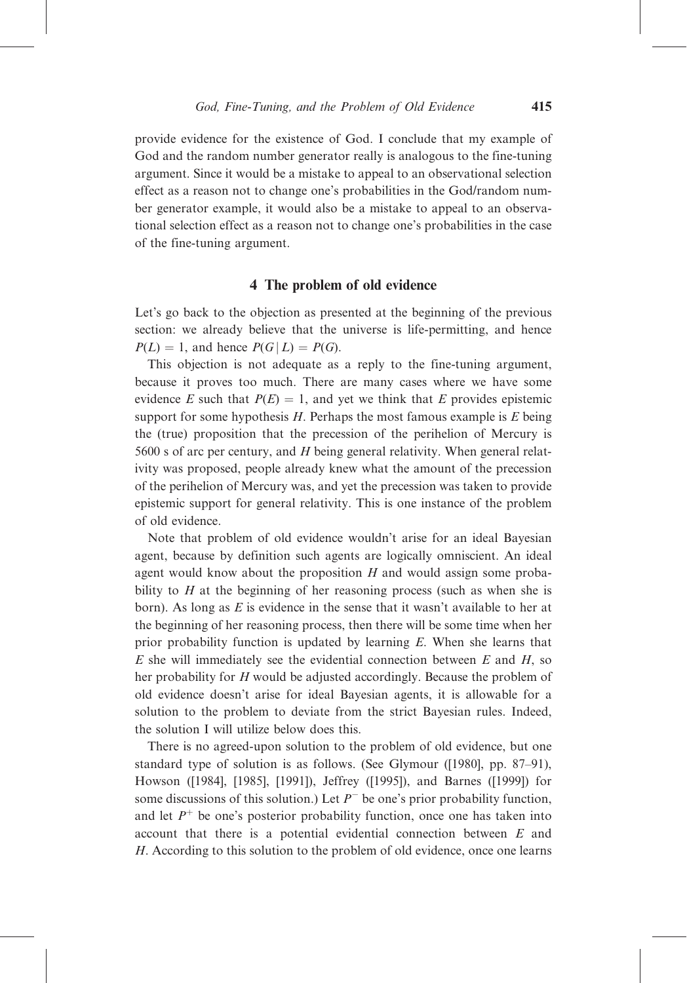provide evidence for the existence of God. I conclude that my example of God and the random number generator really is analogous to the fine-tuning argument. Since it would be a mistake to appeal to an observational selection effect as a reason not to change one's probabilities in the God/random number generator example, it would also be a mistake to appeal to an observational selection effect as a reason not to change one's probabilities in the case of the fine-tuning argument.

#### 4 The problem of old evidence

Let's go back to the objection as presented at the beginning of the previous section: we already believe that the universe is life-permitting, and hence  $P(L) = 1$ , and hence  $P(G | L) = P(G)$ .

This objection is not adequate as a reply to the fine-tuning argument, because it proves too much. There are many cases where we have some evidence E such that  $P(E) = 1$ , and yet we think that E provides epistemic support for some hypothesis  $H$ . Perhaps the most famous example is  $E$  being the (true) proposition that the precession of the perihelion of Mercury is 5600 s of arc per century, and  $H$  being general relativity. When general relativity was proposed, people already knew what the amount of the precession of the perihelion of Mercury was, and yet the precession was taken to provide epistemic support for general relativity. This is one instance of the problem of old evidence.

Note that problem of old evidence wouldn't arise for an ideal Bayesian agent, because by definition such agents are logically omniscient. An ideal agent would know about the proposition  $H$  and would assign some probability to  $H$  at the beginning of her reasoning process (such as when she is born). As long as  $E$  is evidence in the sense that it wasn't available to her at the beginning of her reasoning process, then there will be some time when her prior probability function is updated by learning E. When she learns that  $E$  she will immediately see the evidential connection between  $E$  and  $H$ , so her probability for H would be adjusted accordingly. Because the problem of old evidence doesn't arise for ideal Bayesian agents, it is allowable for a solution to the problem to deviate from the strict Bayesian rules. Indeed, the solution I will utilize below does this.

There is no agreed-upon solution to the problem of old evidence, but one standard type of solution is as follows. (See Glymour ([1980], pp. 87–91), Howson ([1984], [1985], [1991]), Jeffrey ([1995]), and Barnes ([1999]) for some discussions of this solution.) Let  $P^-$  be one's prior probability function, and let  $P^+$  be one's posterior probability function, once one has taken into account that there is a potential evidential connection between E and H. According to this solution to the problem of old evidence, once one learns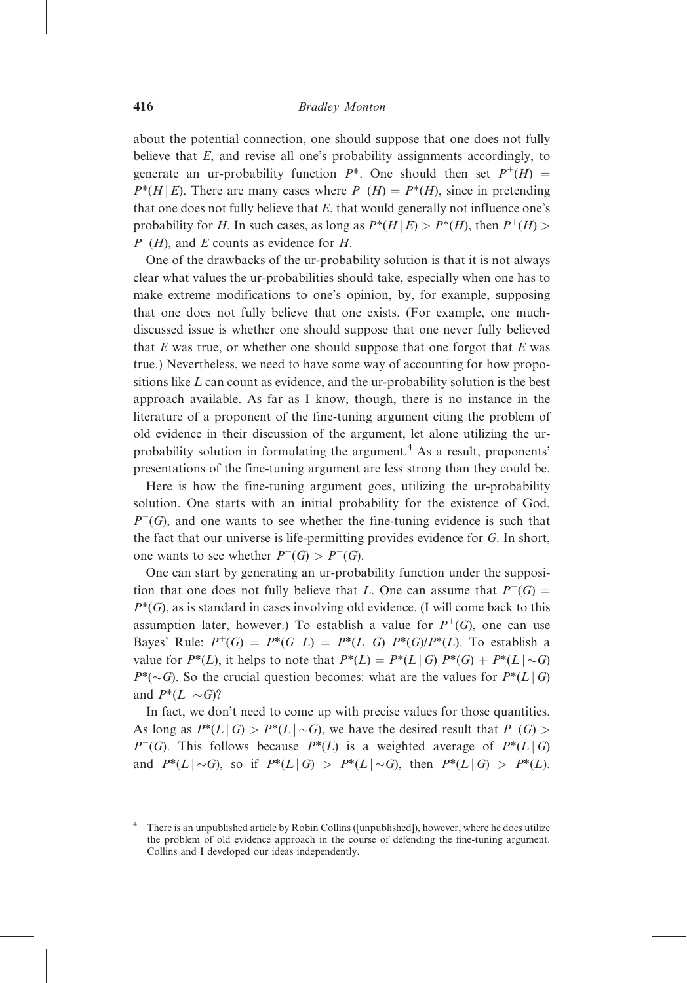about the potential connection, one should suppose that one does not fully believe that E, and revise all one's probability assignments accordingly, to generate an ur-probability function  $P^*$ . One should then set  $P^+(H)$  =  $P^*(H | E)$ . There are many cases where  $P^-(H) = P^*(H)$ , since in pretending that one does not fully believe that  $E$ , that would generally not influence one's probability for H. In such cases, as long as  $P^*(H|E) > P^*(H)$ , then  $P^+(H)$  $P<sup>-</sup>(H)$ , and E counts as evidence for H.

One of the drawbacks of the ur-probability solution is that it is not always clear what values the ur-probabilities should take, especially when one has to make extreme modifications to one's opinion, by, for example, supposing that one does not fully believe that one exists. (For example, one muchdiscussed issue is whether one should suppose that one never fully believed that  $E$  was true, or whether one should suppose that one forgot that  $E$  was true.) Nevertheless, we need to have some way of accounting for how propositions like L can count as evidence, and the ur-probability solution is the best approach available. As far as I know, though, there is no instance in the literature of a proponent of the fine-tuning argument citing the problem of old evidence in their discussion of the argument, let alone utilizing the urprobability solution in formulating the argument.<sup>4</sup> As a result, proponents' presentations of the fine-tuning argument are less strong than they could be.

Here is how the fine-tuning argument goes, utilizing the ur-probability solution. One starts with an initial probability for the existence of God,  $P<sup>-</sup>(G)$ , and one wants to see whether the fine-tuning evidence is such that the fact that our universe is life-permitting provides evidence for G. In short, one wants to see whether  $P^+(G) > P^-(G)$ .

One can start by generating an ur-probability function under the supposition that one does not fully believe that L. One can assume that  $P^-(G)$  $P^*(G)$ , as is standard in cases involving old evidence. (I will come back to this assumption later, however.) To establish a value for  $P^+(G)$ , one can use Bayes' Rule:  $P^+(G) = P^*(G | L) = P^*(L | G) P^*(G) / P^*(L)$ . To establish a value for  $P^*(L)$ , it helps to note that  $P^*(L) = P^*(L | G) P^*(G) + P^*(L | {\sim} G)$  $P^*(-G)$ . So the crucial question becomes: what are the values for  $P^*(L|G)$ and  $P^*(L | \sim G)$ ?

In fact, we don't need to come up with precise values for those quantities. As long as  $P^*(L | G) > P^*(L | \sim G)$ , we have the desired result that  $P^+(G)$  $P^-(G)$ . This follows because  $P^*(L)$  is a weighted average of  $P^*(L | G)$ and  $P^*(L | \sim G)$ , so if  $P^*(L | G) > P^*(L | \sim G)$ , then  $P^*(L | G) > P^*(L)$ .

There is an unpublished article by Robin Collins ([unpublished]), however, where he does utilize the problem of old evidence approach in the course of defending the fine-tuning argument. Collins and I developed our ideas independently.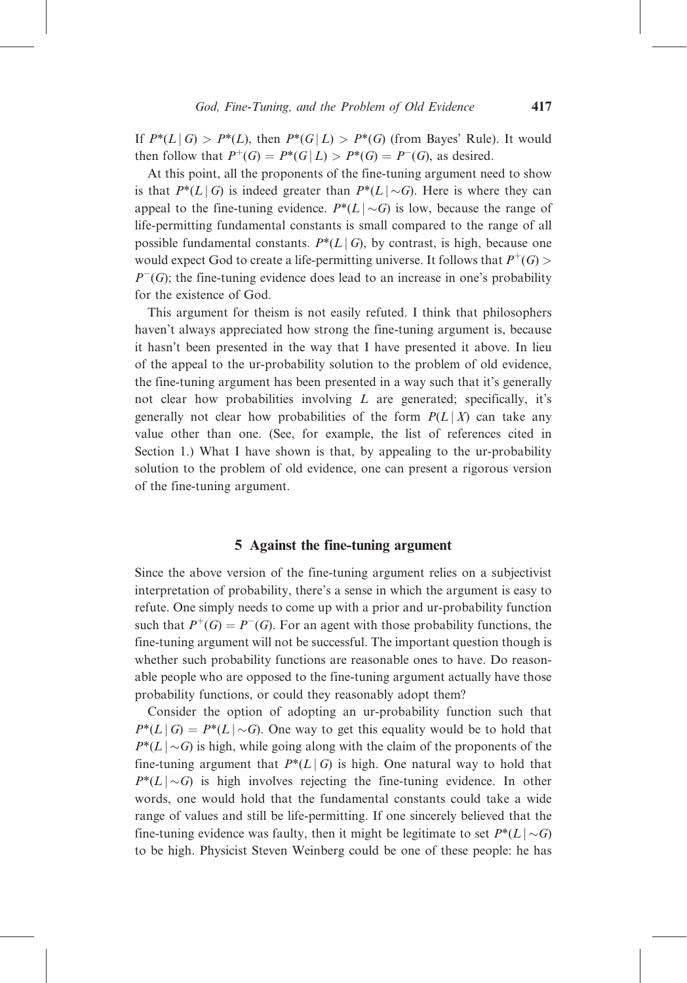If  $P^*(L | G) > P^*(L)$ , then  $P^*(G | L) > P^*(G)$  (from Bayes' Rule). It would then follow that  $P^+(G) = P^*(G | L) > P^*(G) = P^-(G)$ , as desired.

At this point, all the proponents of the fine-tuning argument need to show is that  $P^*(L | G)$  is indeed greater than  $P^*(L | {\sim} G)$ . Here is where they can appeal to the fine-tuning evidence.  $P^*(L | \sim G)$  is low, because the range of life-permitting fundamental constants is small compared to the range of all possible fundamental constants.  $P^*(L | G)$ , by contrast, is high, because one would expect God to create a life-permitting universe. It follows that  $P^+(G)$  $P<sup>-</sup>(G)$ ; the fine-tuning evidence does lead to an increase in one's probability for the existence of God.

This argument for theism is not easily refuted. I think that philosophers haven't always appreciated how strong the fine-tuning argument is, because it hasn't been presented in the way that I have presented it above. In lieu of the appeal to the ur-probability solution to the problem of old evidence, the fine-tuning argument has been presented in a way such that it's generally not clear how probabilities involving  $L$  are generated; specifically, it's generally not clear how probabilities of the form  $P(L | X)$  can take any value other than one. (See, for example, the list of references cited in Section 1.) What I have shown is that, by appealing to the ur-probability solution to the problem of old evidence, one can present a rigorous version of the fine-tuning argument.

## 5 Against the fine-tuning argument

Since the above version of the fine-tuning argument relies on a subjectivist interpretation of probability, there's a sense in which the argument is easy to refute. One simply needs to come up with a prior and ur-probability function such that  $P^+(G) = P^-(G)$ . For an agent with those probability functions, the fine-tuning argument will not be successful. The important question though is whether such probability functions are reasonable ones to have. Do reasonable people who are opposed to the fine-tuning argument actually have those probability functions, or could they reasonably adopt them?

Consider the option of adopting an ur-probability function such that  $P^*(L | G) = P^*(L | \sim G)$ . One way to get this equality would be to hold that  $P^*(L | \sim G)$  is high, while going along with the claim of the proponents of the fine-tuning argument that  $P^*(L | G)$  is high. One natural way to hold that  $P^*(L | \sim G)$  is high involves rejecting the fine-tuning evidence. In other words, one would hold that the fundamental constants could take a wide range of values and still be life-permitting. If one sincerely believed that the fine-tuning evidence was faulty, then it might be legitimate to set  $P^*(L | \sim G)$ to be high. Physicist Steven Weinberg could be one of these people: he has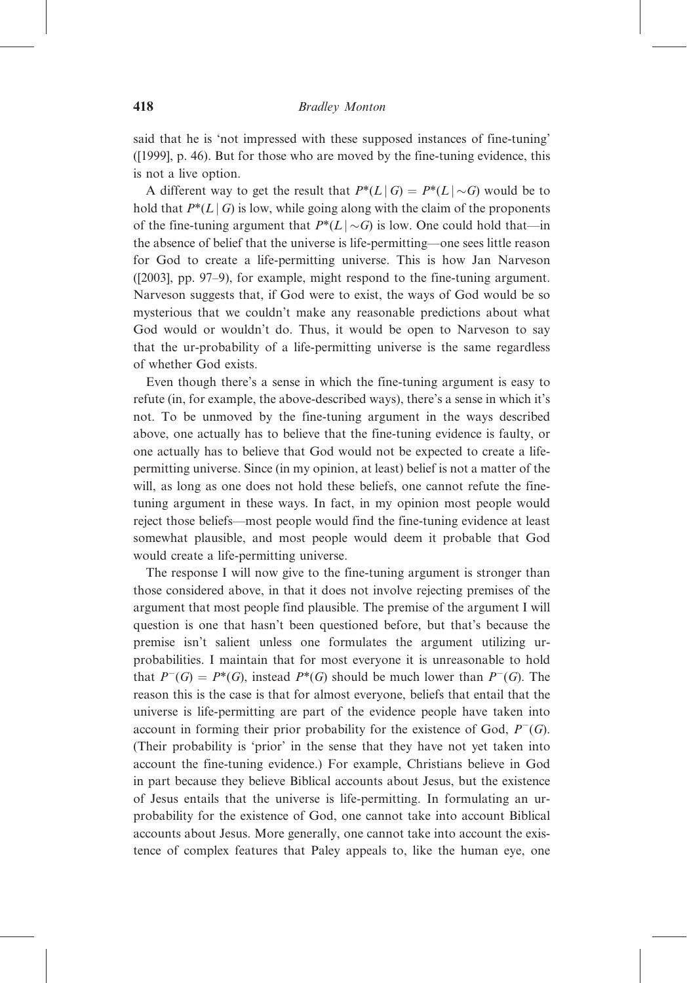said that he is 'not impressed with these supposed instances of fine-tuning' ([1999], p. 46). But for those who are moved by the fine-tuning evidence, this is not a live option.

A different way to get the result that  $P^*(L | G) = P^*(L | {\sim} G)$  would be to hold that  $P^*(L | G)$  is low, while going along with the claim of the proponents of the fine-tuning argument that  $P^*(L | \sim G)$  is low. One could hold that—in the absence of belief that the universe is life-permitting—one sees little reason for God to create a life-permitting universe. This is how Jan Narveson ([2003], pp. 97–9), for example, might respond to the fine-tuning argument. Narveson suggests that, if God were to exist, the ways of God would be so mysterious that we couldn't make any reasonable predictions about what God would or wouldn't do. Thus, it would be open to Narveson to say that the ur-probability of a life-permitting universe is the same regardless of whether God exists.

Even though there's a sense in which the fine-tuning argument is easy to refute (in, for example, the above-described ways), there's a sense in which it's not. To be unmoved by the fine-tuning argument in the ways described above, one actually has to believe that the fine-tuning evidence is faulty, or one actually has to believe that God would not be expected to create a lifepermitting universe. Since (in my opinion, at least) belief is not a matter of the will, as long as one does not hold these beliefs, one cannot refute the finetuning argument in these ways. In fact, in my opinion most people would reject those beliefs—most people would find the fine-tuning evidence at least somewhat plausible, and most people would deem it probable that God would create a life-permitting universe.

The response I will now give to the fine-tuning argument is stronger than those considered above, in that it does not involve rejecting premises of the argument that most people find plausible. The premise of the argument I will question is one that hasn't been questioned before, but that's because the premise isn't salient unless one formulates the argument utilizing urprobabilities. I maintain that for most everyone it is unreasonable to hold that  $P^{-}(G) = P^{*}(G)$ , instead  $P^{*}(G)$  should be much lower than  $P^{-}(G)$ . The reason this is the case is that for almost everyone, beliefs that entail that the universe is life-permitting are part of the evidence people have taken into account in forming their prior probability for the existence of God,  $P^-(G)$ . (Their probability is 'prior' in the sense that they have not yet taken into account the fine-tuning evidence.) For example, Christians believe in God in part because they believe Biblical accounts about Jesus, but the existence of Jesus entails that the universe is life-permitting. In formulating an urprobability for the existence of God, one cannot take into account Biblical accounts about Jesus. More generally, one cannot take into account the existence of complex features that Paley appeals to, like the human eye, one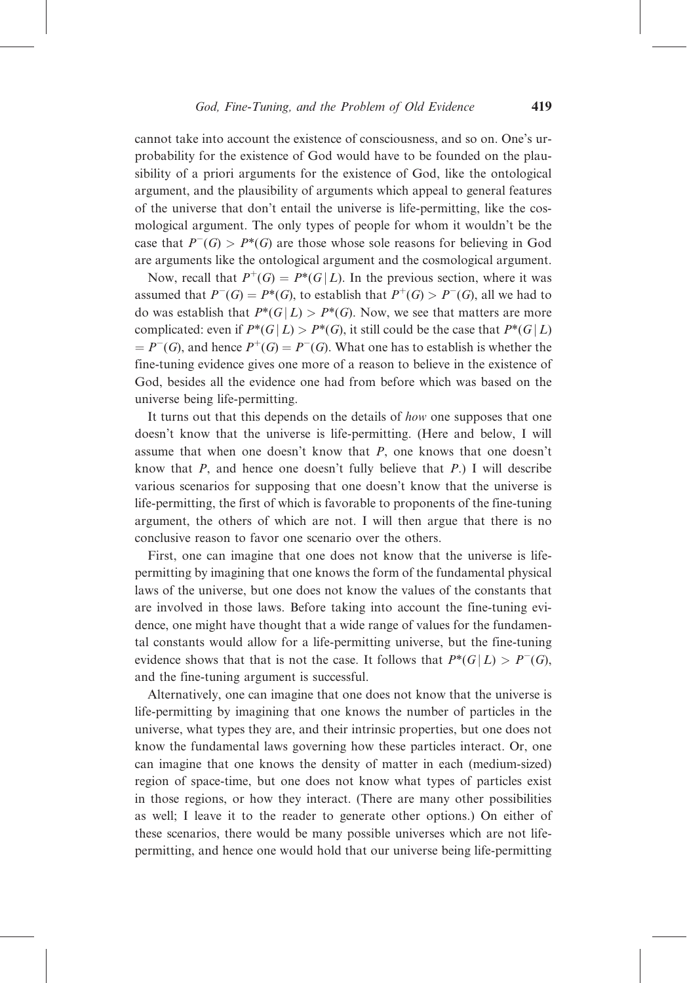cannot take into account the existence of consciousness, and so on. One's urprobability for the existence of God would have to be founded on the plausibility of a priori arguments for the existence of God, like the ontological argument, and the plausibility of arguments which appeal to general features of the universe that don't entail the universe is life-permitting, like the cosmological argument. The only types of people for whom it wouldn't be the case that  $P^{-}(G) > P^{*}(G)$  are those whose sole reasons for believing in God are arguments like the ontological argument and the cosmological argument.

Now, recall that  $P^+(G) = P^*(G | L)$ . In the previous section, where it was assumed that  $P^{-}(G) = P^{*}(G)$ , to establish that  $P^{+}(G) > P^{-}(G)$ , all we had to do was establish that  $P^*(G | L) > P^*(G)$ . Now, we see that matters are more complicated: even if  $P^*(G | L) > P^*(G)$ , it still could be the case that  $P^*(G | L)$  $= P^{-}(G)$ , and hence  $P^{+}(G) = P^{-}(G)$ . What one has to establish is whether the fine-tuning evidence gives one more of a reason to believe in the existence of God, besides all the evidence one had from before which was based on the universe being life-permitting.

It turns out that this depends on the details of how one supposes that one doesn't know that the universe is life-permitting. (Here and below, I will assume that when one doesn't know that P, one knows that one doesn't know that  $P$ , and hence one doesn't fully believe that  $P$ .) I will describe various scenarios for supposing that one doesn't know that the universe is life-permitting, the first of which is favorable to proponents of the fine-tuning argument, the others of which are not. I will then argue that there is no conclusive reason to favor one scenario over the others.

First, one can imagine that one does not know that the universe is lifepermitting by imagining that one knows the form of the fundamental physical laws of the universe, but one does not know the values of the constants that are involved in those laws. Before taking into account the fine-tuning evidence, one might have thought that a wide range of values for the fundamental constants would allow for a life-permitting universe, but the fine-tuning evidence shows that that is not the case. It follows that  $P^*(G|L) > P^-(G)$ , and the fine-tuning argument is successful.

Alternatively, one can imagine that one does not know that the universe is life-permitting by imagining that one knows the number of particles in the universe, what types they are, and their intrinsic properties, but one does not know the fundamental laws governing how these particles interact. Or, one can imagine that one knows the density of matter in each (medium-sized) region of space-time, but one does not know what types of particles exist in those regions, or how they interact. (There are many other possibilities as well; I leave it to the reader to generate other options.) On either of these scenarios, there would be many possible universes which are not lifepermitting, and hence one would hold that our universe being life-permitting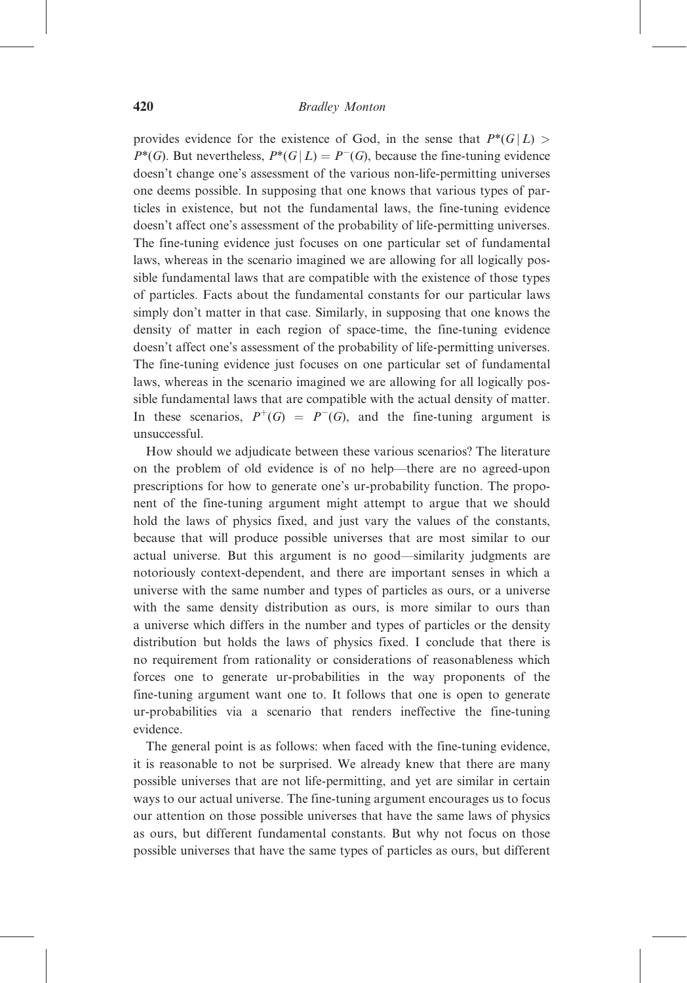provides evidence for the existence of God, in the sense that  $P^*(G|L)$  $P^*(G)$ . But nevertheless,  $P^*(G | L) = P^-(G)$ , because the fine-tuning evidence doesn't change one's assessment of the various non-life-permitting universes one deems possible. In supposing that one knows that various types of particles in existence, but not the fundamental laws, the fine-tuning evidence doesn't affect one's assessment of the probability of life-permitting universes. The fine-tuning evidence just focuses on one particular set of fundamental laws, whereas in the scenario imagined we are allowing for all logically possible fundamental laws that are compatible with the existence of those types of particles. Facts about the fundamental constants for our particular laws simply don't matter in that case. Similarly, in supposing that one knows the density of matter in each region of space-time, the fine-tuning evidence doesn't affect one's assessment of the probability of life-permitting universes. The fine-tuning evidence just focuses on one particular set of fundamental laws, whereas in the scenario imagined we are allowing for all logically possible fundamental laws that are compatible with the actual density of matter. In these scenarios,  $P^+(G) = P^-(G)$ , and the fine-tuning argument is unsuccessful.

How should we adjudicate between these various scenarios? The literature on the problem of old evidence is of no help—there are no agreed-upon prescriptions for how to generate one's ur-probability function. The proponent of the fine-tuning argument might attempt to argue that we should hold the laws of physics fixed, and just vary the values of the constants, because that will produce possible universes that are most similar to our actual universe. But this argument is no good—similarity judgments are notoriously context-dependent, and there are important senses in which a universe with the same number and types of particles as ours, or a universe with the same density distribution as ours, is more similar to ours than a universe which differs in the number and types of particles or the density distribution but holds the laws of physics fixed. I conclude that there is no requirement from rationality or considerations of reasonableness which forces one to generate ur-probabilities in the way proponents of the fine-tuning argument want one to. It follows that one is open to generate ur-probabilities via a scenario that renders ineffective the fine-tuning evidence.

The general point is as follows: when faced with the fine-tuning evidence, it is reasonable to not be surprised. We already knew that there are many possible universes that are not life-permitting, and yet are similar in certain ways to our actual universe. The fine-tuning argument encourages us to focus our attention on those possible universes that have the same laws of physics as ours, but different fundamental constants. But why not focus on those possible universes that have the same types of particles as ours, but different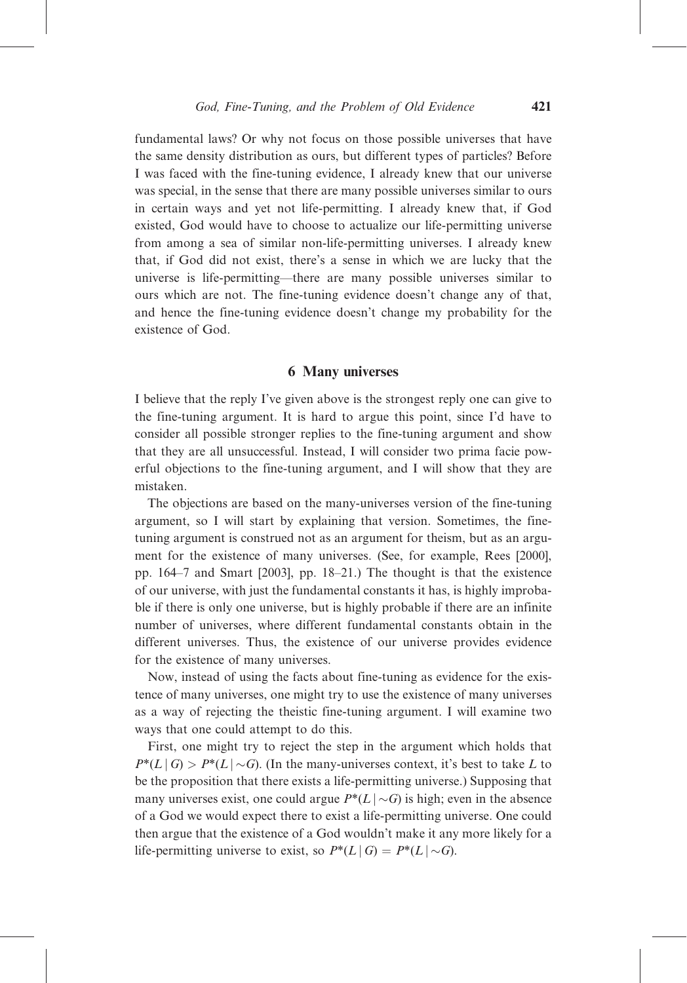fundamental laws? Or why not focus on those possible universes that have the same density distribution as ours, but different types of particles? Before I was faced with the fine-tuning evidence, I already knew that our universe was special, in the sense that there are many possible universes similar to ours in certain ways and yet not life-permitting. I already knew that, if God existed, God would have to choose to actualize our life-permitting universe from among a sea of similar non-life-permitting universes. I already knew that, if God did not exist, there's a sense in which we are lucky that the universe is life-permitting—there are many possible universes similar to ours which are not. The fine-tuning evidence doesn't change any of that, and hence the fine-tuning evidence doesn't change my probability for the existence of God.

## 6 Many universes

I believe that the reply I've given above is the strongest reply one can give to the fine-tuning argument. It is hard to argue this point, since I'd have to consider all possible stronger replies to the fine-tuning argument and show that they are all unsuccessful. Instead, I will consider two prima facie powerful objections to the fine-tuning argument, and I will show that they are mistaken.

The objections are based on the many-universes version of the fine-tuning argument, so I will start by explaining that version. Sometimes, the finetuning argument is construed not as an argument for theism, but as an argument for the existence of many universes. (See, for example, Rees [2000], pp. 164–7 and Smart [2003], pp. 18–21.) The thought is that the existence of our universe, with just the fundamental constants it has, is highly improbable if there is only one universe, but is highly probable if there are an infinite number of universes, where different fundamental constants obtain in the different universes. Thus, the existence of our universe provides evidence for the existence of many universes.

Now, instead of using the facts about fine-tuning as evidence for the existence of many universes, one might try to use the existence of many universes as a way of rejecting the theistic fine-tuning argument. I will examine two ways that one could attempt to do this.

First, one might try to reject the step in the argument which holds that  $P^*(L | G) > P^*(L | \sim G)$ . (In the many-universes context, it's best to take L to be the proposition that there exists a life-permitting universe.) Supposing that many universes exist, one could argue  $P^*(L | \sim G)$  is high; even in the absence of a God we would expect there to exist a life-permitting universe. One could then argue that the existence of a God wouldn't make it any more likely for a life-permitting universe to exist, so  $P^*(L | G) = P^*(L | \sim G)$ .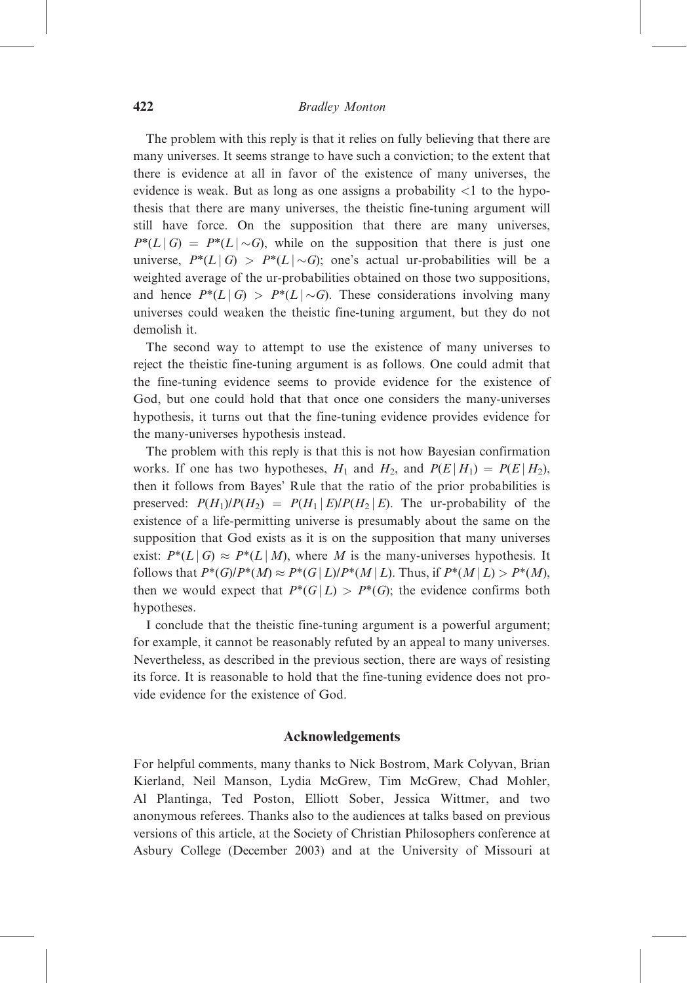The problem with this reply is that it relies on fully believing that there are many universes. It seems strange to have such a conviction; to the extent that there is evidence at all in favor of the existence of many universes, the evidence is weak. But as long as one assigns a probability  $\langle 1 \rangle$  to the hypothesis that there are many universes, the theistic fine-tuning argument will still have force. On the supposition that there are many universes,  $P^*(L | G) = P^*(L | \sim G)$ , while on the supposition that there is just one universe,  $P^*(L|G) > P^*(L|\sim G)$ ; one's actual ur-probabilities will be a weighted average of the ur-probabilities obtained on those two suppositions, and hence  $P^*(L|G) > P^*(L|\sim G)$ . These considerations involving many universes could weaken the theistic fine-tuning argument, but they do not demolish it.

The second way to attempt to use the existence of many universes to reject the theistic fine-tuning argument is as follows. One could admit that the fine-tuning evidence seems to provide evidence for the existence of God, but one could hold that that once one considers the many-universes hypothesis, it turns out that the fine-tuning evidence provides evidence for the many-universes hypothesis instead.

The problem with this reply is that this is not how Bayesian confirmation works. If one has two hypotheses,  $H_1$  and  $H_2$ , and  $P(E|H_1) = P(E|H_2)$ , then it follows from Bayes' Rule that the ratio of the prior probabilities is preserved:  $P(H_1)/P(H_2) = P(H_1 | E)/P(H_2 | E)$ . The ur-probability of the existence of a life-permitting universe is presumably about the same on the supposition that God exists as it is on the supposition that many universes exist:  $P^*(L | G) \approx P^*(L | M)$ , where M is the many-universes hypothesis. It follows that  $P^*(G)/P^*(M) \approx P^*(G | L)/P^*(M | L)$ . Thus, if  $P^*(M | L) > P^*(M)$ , then we would expect that  $P^*(G|L) > P^*(G)$ ; the evidence confirms both hypotheses.

I conclude that the theistic fine-tuning argument is a powerful argument; for example, it cannot be reasonably refuted by an appeal to many universes. Nevertheless, as described in the previous section, there are ways of resisting its force. It is reasonable to hold that the fine-tuning evidence does not provide evidence for the existence of God.

#### Acknowledgements

For helpful comments, many thanks to Nick Bostrom, Mark Colyvan, Brian Kierland, Neil Manson, Lydia McGrew, Tim McGrew, Chad Mohler, Al Plantinga, Ted Poston, Elliott Sober, Jessica Wittmer, and two anonymous referees. Thanks also to the audiences at talks based on previous versions of this article, at the Society of Christian Philosophers conference at Asbury College (December 2003) and at the University of Missouri at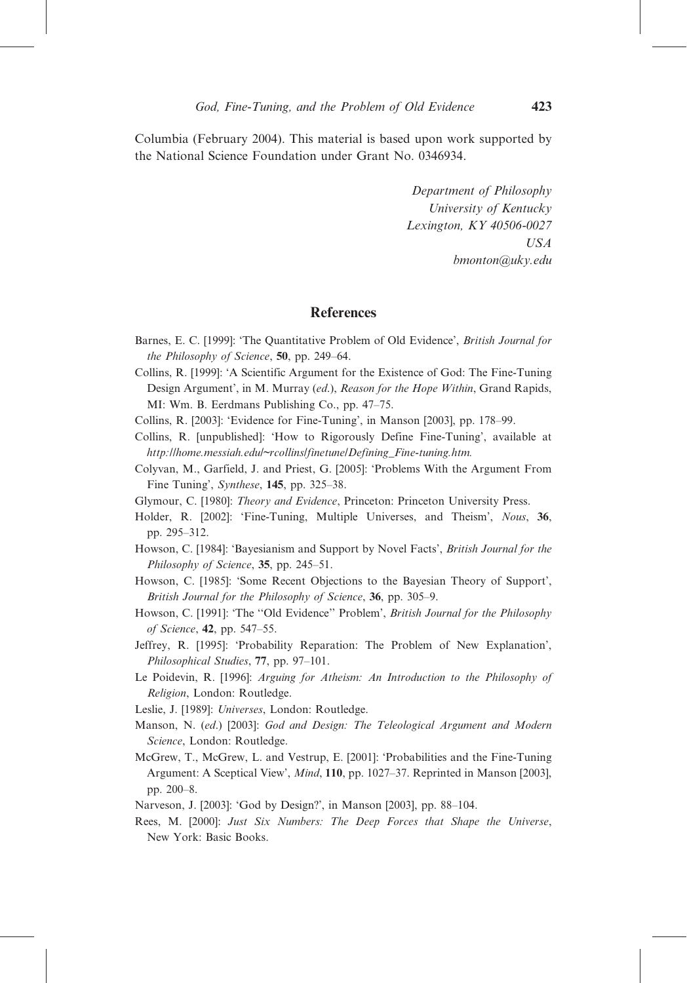Columbia (February 2004). This material is based upon work supported by the National Science Foundation under Grant No. 0346934.

> Department of Philosophy University of Kentucky Lexington, KY 40506-0027 USA bmonton@uky.edu

## References

- Barnes, E. C. [1999]: 'The Quantitative Problem of Old Evidence', British Journal for the Philosophy of Science, 50, pp. 249–64.
- Collins, R. [1999]: 'A Scientific Argument for the Existence of God: The Fine-Tuning Design Argument', in M. Murray (ed.), Reason for the Hope Within, Grand Rapids, MI: Wm. B. Eerdmans Publishing Co., pp. 47–75.
- Collins, R. [2003]: 'Evidence for Fine-Tuning', in Manson [2003], pp. 178–99.
- Collins, R. [unpublished]: 'How to Rigorously Define Fine-Tuning', available at [http://home.messiah.edu/~rcollins/finetune/Defining\\_Fine-tuning.htm.](http://home.messiah.edu/~rcollins/finetune/Defining_Fine-tuning.htm)
- Colyvan, M., Garfield, J. and Priest, G. [2005]: 'Problems With the Argument From Fine Tuning', Synthese, 145, pp. 325–38.
- Glymour, C. [1980]: Theory and Evidence, Princeton: Princeton University Press.
- Holder, R. [2002]: 'Fine-Tuning, Multiple Universes, and Theism', Nous, 36, pp. 295–312.
- Howson, C. [1984]: 'Bayesianism and Support by Novel Facts', British Journal for the Philosophy of Science, 35, pp. 245–51.
- Howson, C. [1985]: 'Some Recent Objections to the Bayesian Theory of Support', British Journal for the Philosophy of Science, 36, pp. 305–9.
- Howson, C. [1991]: 'The ''Old Evidence'' Problem', British Journal for the Philosophy of Science, 42, pp. 547–55.
- Jeffrey, R. [1995]: 'Probability Reparation: The Problem of New Explanation', Philosophical Studies, 77, pp. 97–101.
- Le Poidevin, R. [1996]: Arguing for Atheism: An Introduction to the Philosophy of Religion, London: Routledge.
- Leslie, J. [1989]: Universes, London: Routledge.
- Manson, N. (ed.) [2003]: God and Design: The Teleological Argument and Modern Science, London: Routledge.
- McGrew, T., McGrew, L. and Vestrup, E. [2001]: 'Probabilities and the Fine-Tuning Argument: A Sceptical View', Mind, 110, pp. 1027–37. Reprinted in Manson [2003], pp. 200–8.
- Narveson, J. [2003]: 'God by Design?', in Manson [2003], pp. 88–104.
- Rees, M. [2000]: Just Six Numbers: The Deep Forces that Shape the Universe, New York: Basic Books.